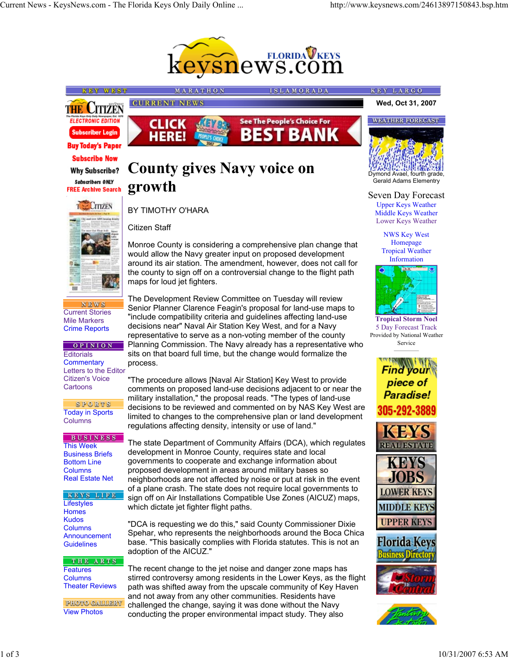

**ISLAMORADA** 



**KEY WEST** 



**NEWS** Current Stories Mile Markers Crime Reports

## **OPINION**

**Editorials Commentary** Letters to the Editor Citizen's Voice **Cartoons** 

SPORTS Today in Sports **Columns** 

## **BUSINESS** This Week

Business Briefs Bottom Line **Columns** Real Estate Net

KEYS LIFE **Lifestyles Homes** Kudos Columns Announcement **Guidelines** 

THE ARTS **Features** Columns Theater Reviews

PHOTO GALLERY View Photos



## **County gives Navy voice on growth**

MARATHON

## BY TIMOTHY O'HARA

**CURRENT NEWS** 

Citizen Staff

Monroe County is considering a comprehensive plan change that would allow the Navy greater input on proposed development around its air station. The amendment, however, does not call for the county to sign off on a controversial change to the flight path maps for loud jet fighters.

The Development Review Committee on Tuesday will review Senior Planner Clarence Feagin's proposal for land-use maps to "include compatibility criteria and guidelines affecting land-use decisions near" Naval Air Station Key West, and for a Navy representative to serve as a non-voting member of the county Planning Commission. The Navy already has a representative who sits on that board full time, but the change would formalize the process.

"The procedure allows [Naval Air Station] Key West to provide comments on proposed land-use decisions adjacent to or near the military installation," the proposal reads. "The types of land-use decisions to be reviewed and commented on by NAS Key West are limited to changes to the comprehensive plan or land development regulations affecting density, intensity or use of land."

The state Department of Community Affairs (DCA), which regulates development in Monroe County, requires state and local governments to cooperate and exchange information about proposed development in areas around military bases so neighborhoods are not affected by noise or put at risk in the event of a plane crash. The state does not require local governments to sign off on Air Installations Compatible Use Zones (AICUZ) maps, which dictate jet fighter flight paths.

"DCA is requesting we do this," said County Commissioner Dixie Spehar, who represents the neighborhoods around the Boca Chica base. "This basically complies with Florida statutes. This is not an adoption of the AICUZ."

The recent change to the jet noise and danger zone maps has stirred controversy among residents in the Lower Keys, as the flight path was shifted away from the upscale community of Key Haven and not away from any other communities. Residents have challenged the change, saying it was done without the Navy conducting the proper environmental impact study. They also

Seven Day Forecast Upper Keys Weather Middle Keys Weather Lower Keys Weather

Dymond Avael, fourth grade, Gerald Adams Elementry

**Wed, Oct 31, 2007**

**WEATHER FORECAST** 

KEY LARGO

NWS Key West Homepage Tropical Weather Information



**Tropical Storm Noel** 5 Day Forecast Track Provided by National Weather Service